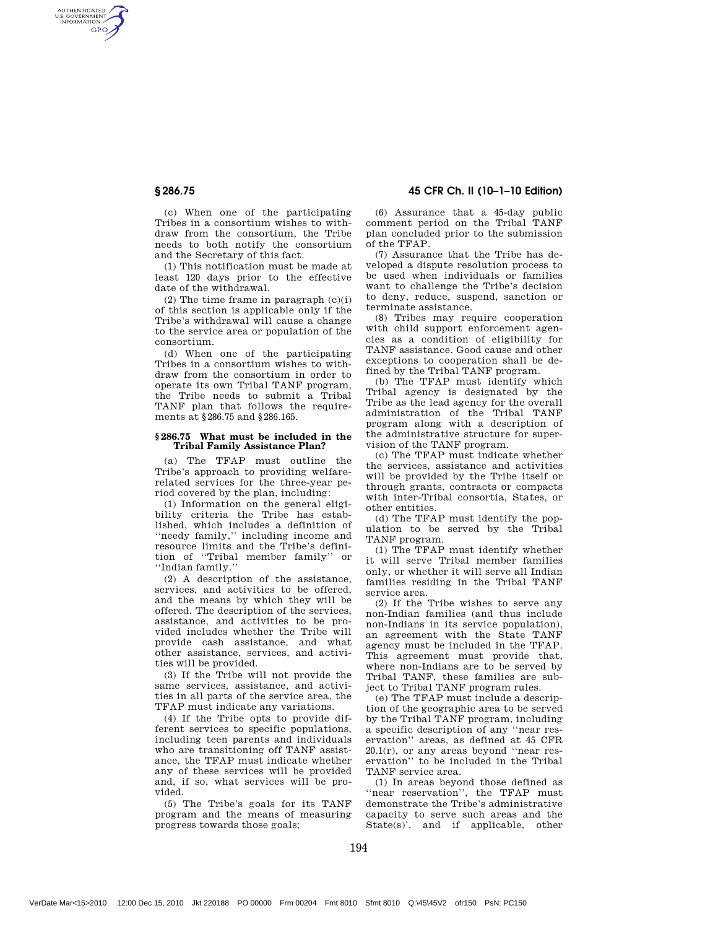AUTHENTICATED<br>U.S. GOVERNMENT<br>INFORMATION **GPO** 

> (c) When one of the participating Tribes in a consortium wishes to withdraw from the consortium, the Tribe needs to both notify the consortium and the Secretary of this fact.

> (1) This notification must be made at least 120 days prior to the effective date of the withdrawal.

> (2) The time frame in paragraph  $(c)(i)$ of this section is applicable only if the Tribe's withdrawal will cause a change to the service area or population of the consortium.

> (d) When one of the participating Tribes in a consortium wishes to withdraw from the consortium in order to operate its own Tribal TANF program, the Tribe needs to submit a Tribal TANF plan that follows the requirements at §286.75 and §286.165.

## **§ 286.75 What must be included in the Tribal Family Assistance Plan?**

(a) The TFAP must outline the Tribe's approach to providing welfarerelated services for the three-year period covered by the plan, including:

(1) Information on the general eligibility criteria the Tribe has established, which includes a definition of ''needy family,'' including income and resource limits and the Tribe's definition of "Tribal member family" ''Indian family.''

(2) A description of the assistance, services, and activities to be offered, and the means by which they will be offered. The description of the services, assistance, and activities to be provided includes whether the Tribe will provide cash assistance, and what other assistance, services, and activities will be provided.

(3) If the Tribe will not provide the same services, assistance, and activities in all parts of the service area, the TFAP must indicate any variations.

(4) If the Tribe opts to provide different services to specific populations, including teen parents and individuals who are transitioning off TANF assistance, the TFAP must indicate whether any of these services will be provided and, if so, what services will be provided.

(5) The Tribe's goals for its TANF program and the means of measuring progress towards those goals;

§ 286.75 45 CFR Ch. II (10–1–10 Edition)

(6) Assurance that a 45-day public comment period on the Tribal TANF plan concluded prior to the submission of the TFAP.

(7) Assurance that the Tribe has developed a dispute resolution process to be used when individuals or families want to challenge the Tribe's decision to deny, reduce, suspend, sanction or terminate assistance.

(8) Tribes may require cooperation with child support enforcement agencies as a condition of eligibility for TANF assistance. Good cause and other exceptions to cooperation shall be defined by the Tribal TANF program.

(b) The TFAP must identify which Tribal agency is designated by the Tribe as the lead agency for the overall administration of the Tribal TANF program along with a description of the administrative structure for supervision of the TANF program.

(c) The TFAP must indicate whether the services, assistance and activities will be provided by the Tribe itself or through grants, contracts or compacts with inter-Tribal consortia, States, or other entities.

(d) The TFAP must identify the population to be served by the Tribal TANF program.

(1) The TFAP must identify whether it will serve Tribal member families only, or whether it will serve all Indian families residing in the Tribal TANF service area.

(2) If the Tribe wishes to serve any non-Indian families (and thus include non-Indians in its service population), an agreement with the State TANF agency must be included in the TFAP. This agreement must provide that, where non-Indians are to be served by Tribal TANF, these families are subject to Tribal TANF program rules.

(e) The TFAP must include a description of the geographic area to be served by the Tribal TANF program, including a specific description of any ''near reservation'' areas, as defined at 45 CFR  $20.1(r)$ , or any areas beyond "near reservation'' to be included in the Tribal TANF service area.

(1) In areas beyond those defined as ''near reservation'', the TFAP must demonstrate the Tribe's administrative capacity to serve such areas and the State(s)', and if applicable, other